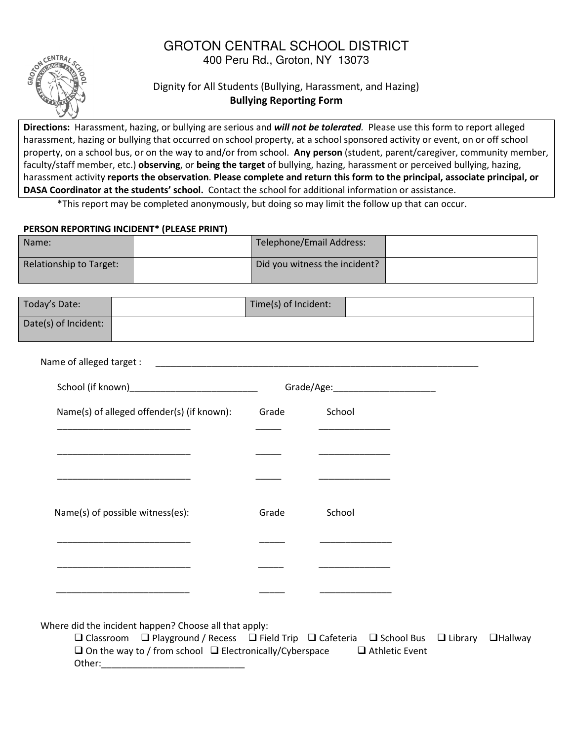## GROTON CENTRAL SCHOOL DISTRICT 400 Peru Rd., Groton, NY 13073



## Dignity for All Students (Bullying, Harassment, and Hazing) Bullying Reporting Form

Directions: Harassment, hazing, or bullying are serious and will not be tolerated. Please use this form to report alleged harassment, hazing or bullying that occurred on school property, at a school sponsored activity or event, on or off school property, on a school bus, or on the way to and/or from school. Any person (student, parent/caregiver, community member, faculty/staff member, etc.) observing, or being the target of bullying, hazing, harassment or perceived bullying, hazing, harassment activity reports the observation. Please complete and return this form to the principal, associate principal, or DASA Coordinator at the students' school. Contact the school for additional information or assistance.

\*This report may be completed anonymously, but doing so may limit the follow up that can occur.

## PERSON REPORTING INCIDENT\* (PLEASE PRINT)

| Name:                          | Telephone/Email Address:      |  |
|--------------------------------|-------------------------------|--|
| <b>Relationship to Target:</b> | Did you witness the incident? |  |

| Today's Date:                                                                                                         | Time(s) of Incident: |                                      |  |
|-----------------------------------------------------------------------------------------------------------------------|----------------------|--------------------------------------|--|
| Date(s) of Incident:                                                                                                  |                      |                                      |  |
|                                                                                                                       |                      |                                      |  |
| School (if known)_______________________________                                                                      |                      | Grade/Age:__________________________ |  |
| Name(s) of alleged offender(s) (if known):                                                                            | Grade                | School                               |  |
| <u> 1990 - Jan James James James James James James James James James James James James James James James James Ja</u> |                      |                                      |  |
|                                                                                                                       |                      |                                      |  |
|                                                                                                                       |                      |                                      |  |
| Name(s) of possible witness(es):                                                                                      | Grade                | School                               |  |
|                                                                                                                       |                      |                                      |  |
|                                                                                                                       |                      |                                      |  |
|                                                                                                                       |                      |                                      |  |

Where did the incident happen? Choose all that apply:

 $\square$  Classroom  $\square$  Playground / Recess  $\square$  Field Trip  $\square$  Cafeteria  $\square$  School Bus  $\square$  Library  $\square$  Hallway  $\square$  On the way to / from school  $\square$  Electronically/Cyberspace  $\square$  Athletic Event Other: